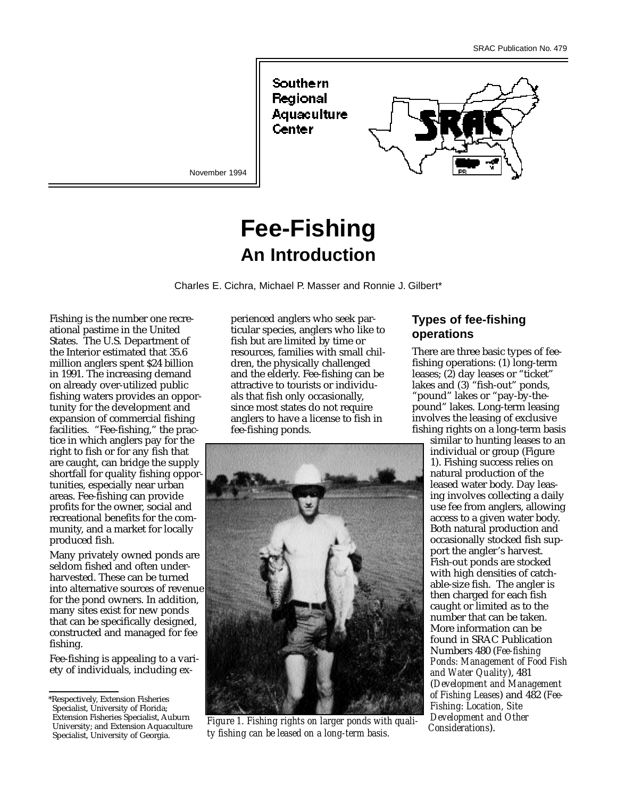Southern Regional Aquaculture Center

November 1994

# **Fee-Fishing An Introduction**



Fishing is the number one recreational pastime in the United States. The U.S. Department of the Interior estimated that 35.6 million anglers spent \$24 billion in 1991. The increasing demand on already over-utilized public fishing waters provides an opportunity for the development and expansion of commercial fishing facilities. "Fee-fishing," the practice in which anglers pay for the right to fish or for any fish that are caught, can bridge the supply shortfall for quality fishing opportunities, especially near urban areas. Fee-fishing can provide profits for the owner, social and recreational benefits for the community, and a market for locally produced fish.

Many privately owned ponds are seldom fished and often underharvested. These can be turned into alternative sources of revenue for the pond owners. In addition, many sites exist for new ponds that can be specifically designed, constructed and managed for fee fishing.

Fee-fishing is appealing to a variety of individuals, including experienced anglers who seek particular species, anglers who like to fish but are limited by time or resources, families with small children, the physically challenged and the elderly. Fee-fishing can be attractive to tourists or individuals that fish only occasionally, since most states do not require anglers to have a license to fish in fee-fishing ponds.



*Figure 1. Fishing rights on larger ponds with quality fishing can be leased on a long-term basis.*

## **Types of fee-fishing operations**

There are three basic types of feefishing operations: (1) long-term leases; (2) day leases or "ticket" lakes and (3) "fish-out" ponds, "pound" lakes or "pay-by-thepound" lakes. Long-term leasing involves the leasing of exclusive fishing rights on a long-term basis

similar to hunting leases to an individual or group (Figure 1). Fishing success relies on natural production of the leased water body. Day leasing involves collecting a daily use fee from anglers, allowing access to a given water body. Both natural production and occasionally stocked fish support the angler's harvest. Fish-out ponds are stocked with high densities of catchable-size fish. The angler is then charged for each fish caught or limited as to the number that can be taken. More information can be found in SRAC Publication Numbers 480 (*Fee-fishing Ponds: Management of Food Fish and Water Quality*), 481 (*Development and Management of Fishing Leases*) and 482 (*Fee-Fishing: Location, Site Development and Other Considerations*).

<sup>\*</sup>Respectively, Extension Fisheries Specialist, University of Florida; Extension Fisheries Specialist, Auburn University; and Extension Aquaculture Specialist, University of Georgia.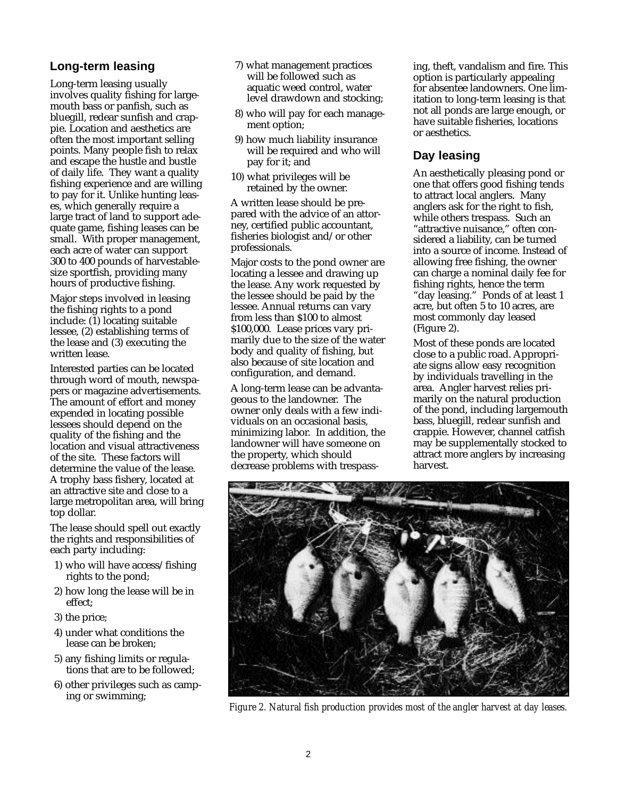## **Long-term leasing**

Long-term leasing usually involves quality fishing for largemouth bass or panfish, such as bluegill, redear sunfish and crappie. Location and aesthetics are often the most important selling points. Many people fish to relax and escape the hustle and bustle of daily life. They want a quality fishing experience and are willing to pay for it. Unlike hunting leases, which generally require a large tract of land to support adequate game, fishing leases can be small. With proper management, each acre of water can support 300 to 400 pounds of harvestablesize sportfish, providing many hours of productive fishing.

Major steps involved in leasing the fishing rights to a pond include:  $(\overline{1})$  locating suitable lessee, (2) establishing terms of the lease and (3) executing the written lease.

Interested parties can be located through word of mouth, newspapers or magazine advertisements. The amount of effort and money expended in locating possible lessees should depend on the quality of the fishing and the location and visual attractiveness of the site. These factors will determine the value of the lease. A trophy bass fishery, located at an attractive site and close to a large metropolitan area, will bring top dollar.

The lease should spell out exactly the rights and responsibilities of each party including:

- 1) who will have access/fishing rights to the pond;
- 2) how long the lease will be in effect;
- 3) the price;
- 4) under what conditions the lease can be broken;
- 5) any fishing limits or regulations that are to be followed;
- 6) other privileges such as camping or swimming;
- 7) what management practices will be followed such as aquatic weed control, water level drawdown and stocking;
- 8) who will pay for each management option;
- 9) how much liability insurance will be required and who will pay for it; and
- 10) what privileges will be retained by the owner.

A written lease should be prepared with the advice of an attorney, certified public accountant, fisheries biologist and/or other professionals.

Major costs to the pond owner are locating a lessee and drawing up the lease. Any work requested by the lessee should be paid by the lessee. Annual returns can vary from less than \$100 to almost \$100,000. Lease prices vary primarily due to the size of the water body and quality of fishing, but also because of site location and configuration, and demand.

A long-term lease can be advantageous to the landowner. The owner only deals with a few individuals on an occasional basis, minimizing labor. In addition, the landowner will have someone on the property, which should decrease problems with trespassing, theft, vandalism and fire. This option is particularly appealing for absentee landowners. One limitation to long-term leasing is that not all ponds are large enough, or have suitable fisheries, locations or aesthetics.

## **Day leasing**

An aesthetically pleasing pond or one that offers good fishing tends to attract local anglers. Many anglers ask for the right to fish, while others trespass. Such an "attractive nuisance," often considered a liability, can be turned into a source of income. Instead of allowing free fishing, the owner can charge a nominal daily fee for fishing rights, hence the term "day leasing." Ponds of at least 1 acre, but often 5 to 10 acres, are most commonly day leased (Figure 2).

Most of these ponds are located close to a public road. Appropriate signs allow easy recognition by individuals travelling in the area. Angler harvest relies primarily on the natural production of the pond, including largemouth bass, bluegill, redear sunfish and crappie. However, channel catfish may be supplementally stocked to attract more anglers by increasing harvest.



*Figure 2. Natural fish production provides most of the angler harvest at day leases.*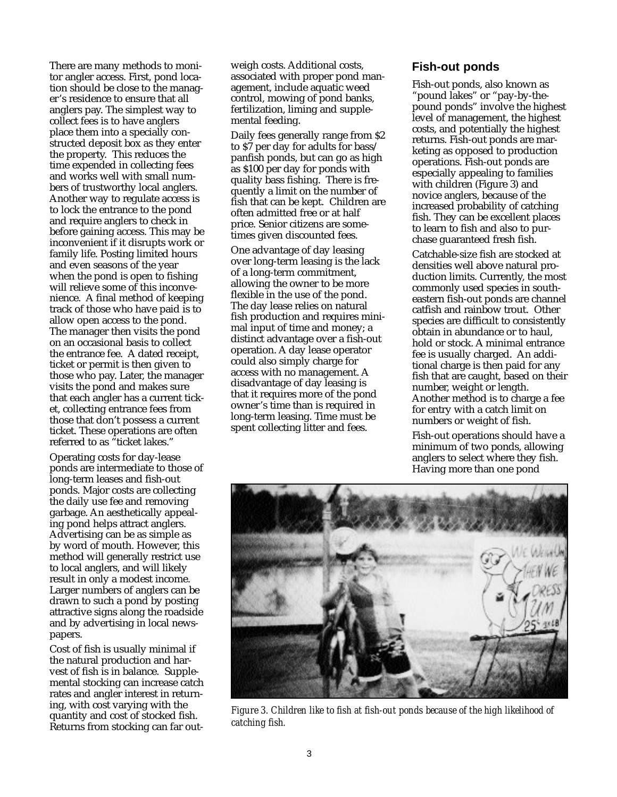There are many methods to monitor angler access. First, pond location should be close to the manager's residence to ensure that all anglers pay. The simplest way to collect fees is to have anglers place them into a specially constructed deposit box as they enter the property. This reduces the time expended in collecting fees and works well with small numbers of trustworthy local anglers. Another way to regulate access is to lock the entrance to the pond and require anglers to check in before gaining access. This may be inconvenient if it disrupts work or family life. Posting limited hours and even seasons of the year when the pond is open to fishing will relieve some of this inconvenience. A final method of keeping track of those who have paid is to allow open access to the pond. The manager then visits the pond on an occasional basis to collect the entrance fee. A dated receipt, ticket or permit is then given to those who pay. Later, the manager visits the pond and makes sure that each angler has a current ticket, collecting entrance fees from those that don't possess a current ticket. These operations are often referred to as "ticket lakes."

Operating costs for day-lease ponds are intermediate to those of long-term leases and fish-out ponds. Major costs are collecting the daily use fee and removing garbage. An aesthetically appealing pond helps attract anglers. Advertising can be as simple as by word of mouth. However, this method will generally restrict use to local anglers, and will likely result in only a modest income. Larger numbers of anglers can be drawn to such a pond by posting attractive signs along the roadside and by advertising in local newspapers.

Cost of fish is usually minimal if the natural production and harvest of fish is in balance. Supplemental stocking can increase catch rates and angler interest in returning, with cost varying with the quantity and cost of stocked fish. Returns from stocking can far outweigh costs. Additional costs, associated with proper pond management, include aquatic weed control, mowing of pond banks, fertilization, liming and supplemental feeding.

Daily fees generally range from \$2 to \$7 per day for adults for bass/ panfish ponds, but can go as high as \$100 per day for ponds with quality bass fishing. There is frequently a limit on the number of fish that can be kept. Children are often admitted free or at half price. Senior citizens are sometimes given discounted fees.

One advantage of day leasing over long-term leasing is the lack of a long-term commitment, allowing the owner to be more flexible in the use of the pond. The day lease relies on natural fish production and requires minimal input of time and money; a distinct advantage over a fish-out operation. A day lease operator could also simply charge for access with no management. A disadvantage of day leasing is that it requires more of the pond owner's time than is required in long-term leasing. Time must be spent collecting litter and fees.

#### **Fish-out ponds**

Fish-out ponds, also known as "pound lakes" or "pay-by-thepound ponds" involve the highest level of management, the highest costs, and potentially the highest returns. Fish-out ponds are marketing as opposed to production operations. Fish-out ponds are especially appealing to families with children (Figure 3) and novice anglers, because of the increased probability of catching fish. They can be excellent places to learn to fish and also to purchase guaranteed fresh fish.

Catchable-size fish are stocked at densities well above natural production limits. Currently, the most commonly used species in southeastern fish-out ponds are channel catfish and rainbow trout. Other species are difficult to consistently obtain in abundance or to haul, hold or stock. A minimal entrance fee is usually charged. An additional charge is then paid for any fish that are caught, based on their number, weight or length. Another method is to charge a fee for entry with a catch limit on numbers or weight of fish.

Fish-out operations should have a minimum of two ponds, allowing anglers to select where they fish. Having more than one pond



*Figure 3. Children like to fish at fish-out ponds because of the high likelihood of catching fish.*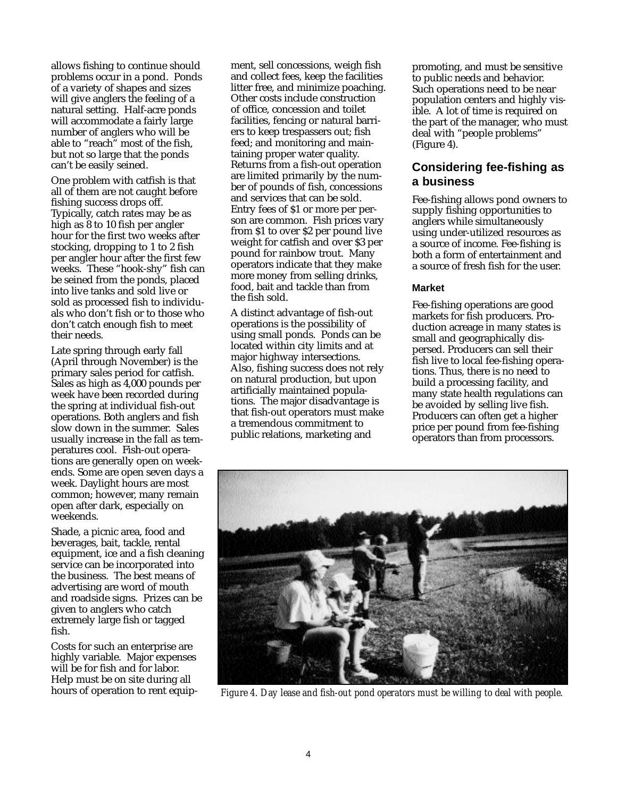allows fishing to continue should problems occur in a pond. Ponds of a variety of shapes and sizes will give anglers the feeling of a natural setting. Half-acre ponds will accommodate a fairly large number of anglers who will be able to "reach" most of the fish, but not so large that the ponds can't be easily seined.

One problem with catfish is that all of them are not caught before fishing success drops off. Typically, catch rates may be as high as 8 to 10 fish per angler hour for the first two weeks after stocking, dropping to 1 to 2 fish per angler hour after the first few weeks. These "hook-shy" fish can be seined from the ponds, placed into live tanks and sold live or sold as processed fish to individuals who don't fish or to those who don't catch enough fish to meet their needs.

Late spring through early fall (April through November) is the primary sales period for catfish. Sales as high as 4,000 pounds per week have been recorded during the spring at individual fish-out operations. Both anglers and fish slow down in the summer. Sales usually increase in the fall as temperatures cool. Fish-out operations are generally open on weekends. Some are open seven days a week. Daylight hours are most common; however, many remain open after dark, especially on weekends.

Shade, a picnic area, food and beverages, bait, tackle, rental equipment, ice and a fish cleaning service can be incorporated into the business. The best means of advertising are word of mouth and roadside signs. Prizes can be given to anglers who catch extremely large fish or tagged fish.

Costs for such an enterprise are highly variable. Major expenses will be for fish and for labor. Help must be on site during all hours of operation to rent equipment, sell concessions, weigh fish and collect fees, keep the facilities litter free, and minimize poaching. Other costs include construction of office, concession and toilet facilities, fencing or natural barriers to keep trespassers out; fish feed; and monitoring and maintaining proper water quality. Returns from a fish-out operation are limited primarily by the number of pounds of fish, concessions and services that can be sold. Entry fees of \$1 or more per person are common. Fish prices vary from \$1 to over \$2 per pound live weight for catfish and over \$3 per pound for rainbow trout. Many operators indicate that they make more money from selling drinks, food, bait and tackle than from the fish sold.

A distinct advantage of fish-out operations is the possibility of using small ponds. Ponds can be located within city limits and at major highway intersections. Also, fishing success does not rely on natural production, but upon artificially maintained populations. The major disadvantage is that fish-out operators must make a tremendous commitment to public relations, marketing and

promoting, and must be sensitive to public needs and behavior. Such operations need to be near population centers and highly visible. A lot of time is required on the part of the manager, who must deal with "people problems" (Figure 4).

### **Considering fee-fishing as a business**

Fee-fishing allows pond owners to supply fishing opportunities to anglers while simultaneously using under-utilized resources as a source of income. Fee-fishing is both a form of entertainment and a source of fresh fish for the user.

#### **Market**

Fee-fishing operations are good markets for fish producers. Production acreage in many states is small and geographically dispersed. Producers can sell their fish live to local fee-fishing operations. Thus, there is no need to build a processing facility, and many state health regulations can be avoided by selling live fish. Producers can often get a higher price per pound from fee-fishing operators than from processors.



*Figure 4. Day lease and fish-out pond operators must be willing to deal with people.*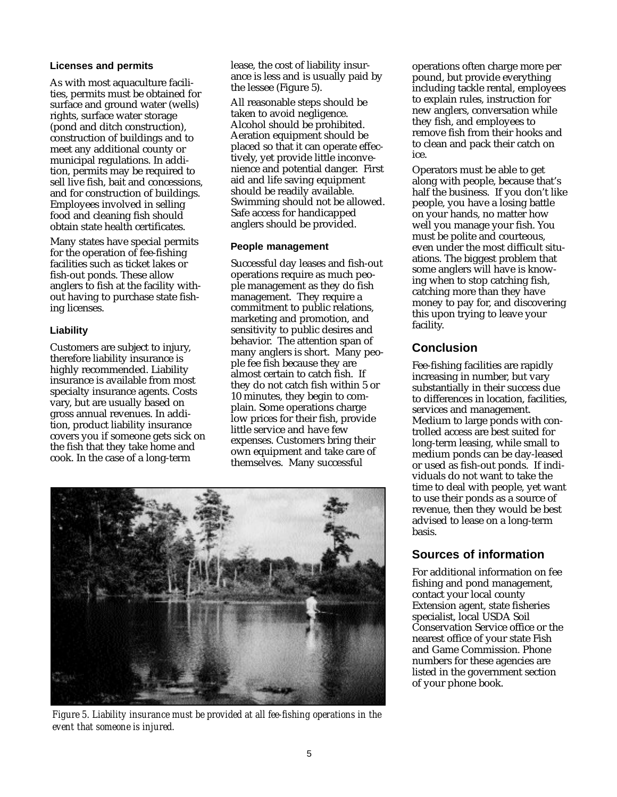#### **Licenses and permits**

As with most aquaculture facilities, permits must be obtained for surface and ground water (wells) rights, surface water storage (pond and ditch construction), construction of buildings and to meet any additional county or municipal regulations. In addition, permits may be required to sell live fish, bait and concessions, and for construction of buildings. Employees involved in selling food and cleaning fish should obtain state health certificates.

Many states have special permits for the operation of fee-fishing facilities such as ticket lakes or fish-out ponds. These allow anglers to fish at the facility without having to purchase state fishing licenses.

#### **Liability**

Customers are subject to injury, therefore liability insurance is highly recommended. Liability insurance is available from most specialty insurance agents. Costs vary, but are usually based on gross annual revenues. In addition, product liability insurance covers you if someone gets sick on the fish that they take home and cook. In the case of a long-term

lease, the cost of liability insurance is less and is usually paid by the lessee (Figure 5).

All reasonable steps should be taken to avoid negligence. Alcohol should be prohibited. Aeration equipment should be placed so that it can operate effectively, yet provide little inconvenience and potential danger. First aid and life saving equipment should be readily available. Swimming should not be allowed. Safe access for handicapped anglers should be provided.

#### **People management**

Successful day leases and fish-out operations require as much people management as they do fish management. They require a commitment to public relations, marketing and promotion, and sensitivity to public desires and behavior. The attention span of many anglers is short. Many people fee fish because they are almost certain to catch fish. If they do not catch fish within 5 or 10 minutes, they begin to complain. Some operations charge low prices for their fish, provide little service and have few expenses. Customers bring their own equipment and take care of themselves. Many successful



*Figure 5. Liability insurance must be provided at all fee-fishing operations in the event that someone is injured.*

operations often charge more per pound, but provide everything including tackle rental, employees to explain rules, instruction for new anglers, conversation while they fish, and employees to remove fish from their hooks and to clean and pack their catch on ice.

Operators must be able to get along with people, because that's half the business. If you don't like people, you have a losing battle on your hands, no matter how well you manage your fish. You must be polite and courteous, even under the most difficult situations. The biggest problem that some anglers will have is knowing when to stop catching fish, catching more than they have money to pay for, and discovering this upon trying to leave your facility.

## **Conclusion**

Fee-fishing facilities are rapidly increasing in number, but vary substantially in their success due to differences in location, facilities, services and management. Medium to large ponds with controlled access are best suited for long-term leasing, while small to medium ponds can be day-leased or used as fish-out ponds. If individuals do not want to take the time to deal with people, yet want to use their ponds as a source of revenue, then they would be best advised to lease on a long-term basis.

## **Sources of information**

For additional information on fee fishing and pond management, contact your local county Extension agent, state fisheries specialist, local USDA Soil Conservation Service office or the nearest office of your state Fish and Game Commission. Phone numbers for these agencies are listed in the government section of your phone book.